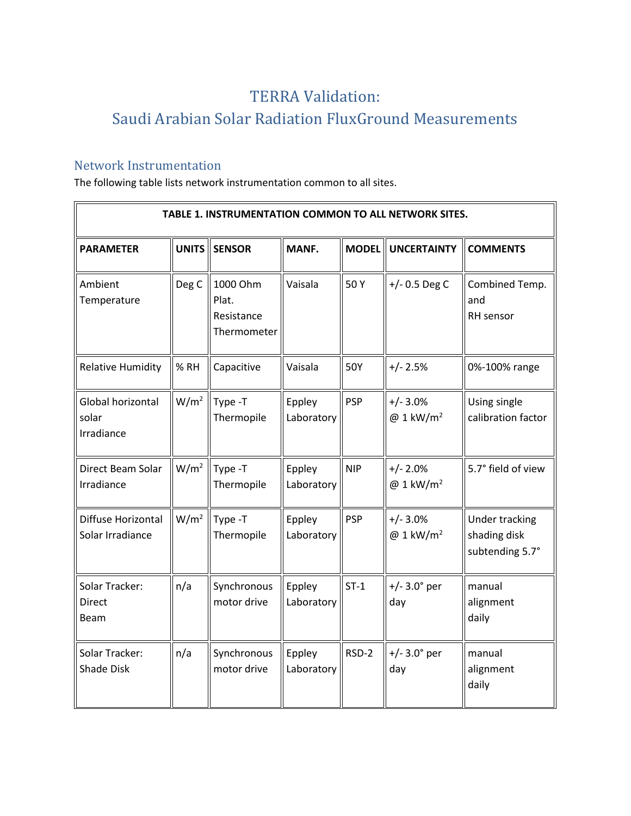## TERRA Validation: Saudi Arabian Solar Radiation FluxGround Measurements

## Network Instrumentation

The following table lists network instrumentation common to all sites.

| TABLE 1. INSTRUMENTATION COMMON TO ALL NETWORK SITES. |                  |                                                |                      |              |                                      |                                                          |
|-------------------------------------------------------|------------------|------------------------------------------------|----------------------|--------------|--------------------------------------|----------------------------------------------------------|
| <b>PARAMETER</b>                                      |                  | UNITS SENSOR                                   | MANF.                | <b>MODEL</b> | <b>UNCERTAINTY</b>                   | <b>COMMENTS</b>                                          |
| Ambient<br>Temperature                                | Deg C            | 1000 Ohm<br>Plat.<br>Resistance<br>Thermometer | Vaisala              | 50Y          | $+/- 0.5$ Deg C                      | Combined Temp.<br>and<br>RH sensor                       |
| <b>Relative Humidity</b>                              | %RH              | Capacitive                                     | Vaisala              | 50Y          | $+/- 2.5%$                           | 0%-100% range                                            |
| Global horizontal<br>solar<br>Irradiance              | W/m <sup>2</sup> | Type -T<br>Thermopile                          | Eppley<br>Laboratory | <b>PSP</b>   | $+/- 3.0%$<br>@ 1 kW/m <sup>2</sup>  | Using single<br>calibration factor                       |
| Direct Beam Solar<br>Irradiance                       | W/m <sup>2</sup> | Type -T<br>Thermopile                          | Eppley<br>Laboratory | <b>NIP</b>   | $+/- 2.0%$<br>$@1$ kW/m <sup>2</sup> | 5.7° field of view                                       |
| Diffuse Horizontal<br>Solar Irradiance                | W/m <sup>2</sup> | Type -T<br>Thermopile                          | Eppley<br>Laboratory | <b>PSP</b>   | $+/- 3.0%$<br>@ 1 kW/m <sup>2</sup>  | <b>Under tracking</b><br>shading disk<br>subtending 5.7° |
| Solar Tracker:<br><b>Direct</b><br>Beam               | n/a              | Synchronous<br>motor drive                     | Eppley<br>Laboratory | $ST-1$       | $+/- 3.0^{\circ}$ per<br>day         | manual<br>alignment<br>daily                             |
| Solar Tracker:<br>Shade Disk                          | n/a              | Synchronous<br>motor drive                     | Eppley<br>Laboratory | RSD-2        | $+/- 3.0^{\circ}$ per<br>day         | manual<br>alignment<br>daily                             |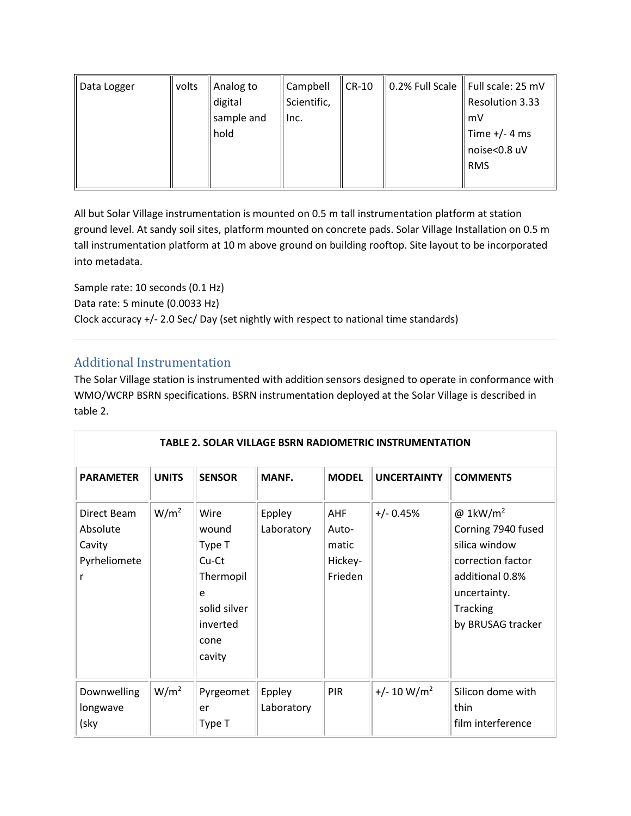| Data Logger | volts | Analog to  | Campbell    | $CR-10$ | $\parallel$ 0.2% Full Scale $\parallel$ Full scale: 25 mV |
|-------------|-------|------------|-------------|---------|-----------------------------------------------------------|
|             |       | digital    | Scientific, |         | Resolution 3.33                                           |
|             |       | sample and | Inc.        |         | mV                                                        |
|             |       | hold       |             |         | Time $+/- 4$ ms                                           |
|             |       |            |             |         | noise<0.8 uV                                              |
|             |       |            |             |         | <b>RMS</b>                                                |
|             |       |            |             |         |                                                           |

All but Solar Village instrumentation is mounted on 0.5 m tall instrumentation platform at station ground level. At sandy soil sites, platform mounted on concrete pads. Solar Village Installation on 0.5 m tall instrumentation platform at 10 m above ground on building rooftop. Site layout to be incorporated into metadata.

Sample rate: 10 seconds (0.1 Hz) Data rate: 5 minute (0.0033 Hz) Clock accuracy +/- 2.0 Sec/ Day (set nightly with respect to national time standards)

## Additional Instrumentation

The Solar Village station is instrumented with addition sensors designed to operate in conformance with WMO/WCRP BSRN specifications. BSRN instrumentation deployed at the Solar Village is described in table 2.

| <b>TABLE 2. SOLAR VILLAGE BSRN RADIOMETRIC INSTRUMENTATION</b> |                  |                                                                                                  |                      |                                             |                    |                                                                                                                                                            |  |
|----------------------------------------------------------------|------------------|--------------------------------------------------------------------------------------------------|----------------------|---------------------------------------------|--------------------|------------------------------------------------------------------------------------------------------------------------------------------------------------|--|
| <b>PARAMETER</b>                                               | <b>UNITS</b>     | <b>SENSOR</b>                                                                                    | MANF.                | <b>MODEL</b>                                | <b>UNCERTAINTY</b> | <b>COMMENTS</b>                                                                                                                                            |  |
| Direct Beam<br>Absolute<br>Cavity<br>Pyrheliomete<br>r         | W/m <sup>2</sup> | Wire<br>wound<br>Type T<br>Cu-Ct<br>Thermopil<br>e<br>solid silver<br>inverted<br>cone<br>cavity | Eppley<br>Laboratory | AHF<br>Auto-<br>matic<br>Hickey-<br>Frieden | $+/- 0.45%$        | @1kW/m <sup>2</sup><br>Corning 7940 fused<br>silica window<br>correction factor<br>additional 0.8%<br>uncertainty.<br><b>Tracking</b><br>by BRUSAG tracker |  |
| Downwelling<br>longwave<br>(sky                                | W/m <sup>2</sup> | Pyrgeomet<br>er<br>Type T                                                                        | Eppley<br>Laboratory | PIR                                         | $+/- 10 W/m2$      | Silicon dome with<br>thin<br>film interference                                                                                                             |  |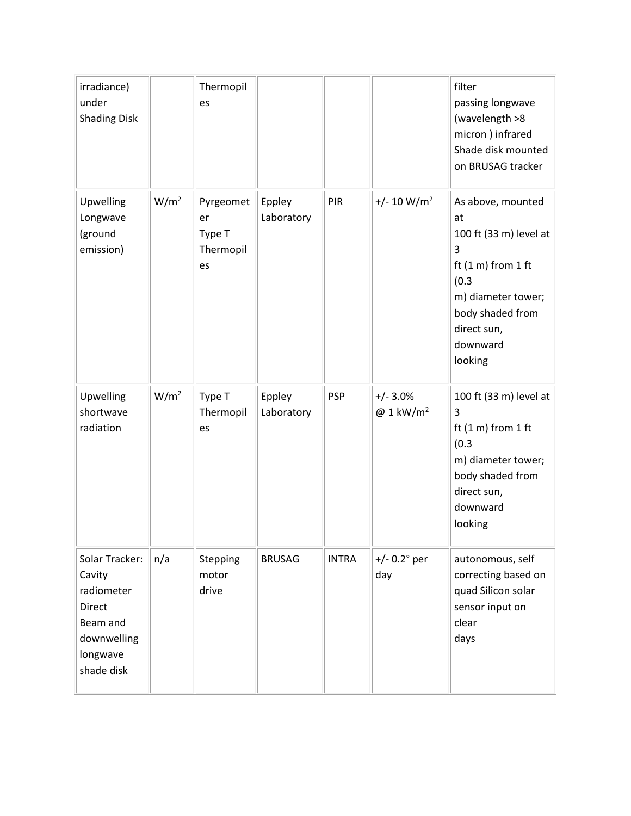| irradiance)<br>under<br><b>Shading Disk</b>                                                                  |                  | Thermopil<br>es                              |                      |              |                                      | filter<br>passing longwave<br>(wavelength >8<br>micron) infrared<br>Shade disk mounted<br>on BRUSAG tracker                                                                     |
|--------------------------------------------------------------------------------------------------------------|------------------|----------------------------------------------|----------------------|--------------|--------------------------------------|---------------------------------------------------------------------------------------------------------------------------------------------------------------------------------|
| Upwelling<br>Longwave<br>(ground<br>emission)                                                                | W/m <sup>2</sup> | Pyrgeomet<br>er<br>Type T<br>Thermopil<br>es | Eppley<br>Laboratory | PIR          | $+/- 10 W/m2$                        | As above, mounted<br>at<br>100 ft (33 m) level at<br>3<br>ft $(1 \text{ m})$ from 1 ft<br>(0.3)<br>m) diameter tower;<br>body shaded from<br>direct sun,<br>downward<br>looking |
| Upwelling<br>shortwave<br>radiation                                                                          | W/m <sup>2</sup> | Type T<br>Thermopil<br>es                    | Eppley<br>Laboratory | <b>PSP</b>   | $+/- 3.0%$<br>$@1$ kW/m <sup>2</sup> | 100 ft (33 m) level at<br>3<br>ft $(1 \text{ m})$ from 1 ft<br>(0.3)<br>m) diameter tower;<br>body shaded from<br>direct sun,<br>downward<br>looking                            |
| Solar Tracker:<br>Cavity<br>radiometer<br><b>Direct</b><br>Beam and<br>downwelling<br>longwave<br>shade disk | n/a              | Stepping<br>motor<br>drive                   | <b>BRUSAG</b>        | <b>INTRA</b> | $+/- 0.2°$ per<br>day                | autonomous, self<br>correcting based on<br>quad Silicon solar<br>sensor input on<br>clear<br>days                                                                               |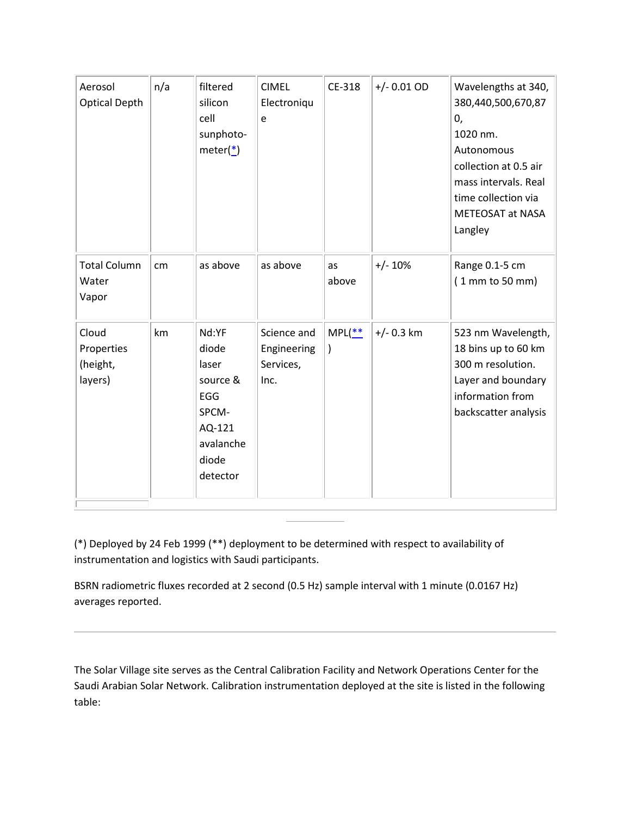| Aerosol<br><b>Optical Depth</b>            | n/a | filtered<br>silicon<br>cell<br>sunphoto-<br>$meter(*)$                                          | <b>CIMEL</b><br>Electroniqu<br>e                | CE-318      | $+/- 0.01$ OD | Wavelengths at 340,<br>380,440,500,670,87<br>0,<br>1020 nm.<br>Autonomous<br>collection at 0.5 air<br>mass intervals. Real<br>time collection via<br><b>METEOSAT at NASA</b><br>Langley |
|--------------------------------------------|-----|-------------------------------------------------------------------------------------------------|-------------------------------------------------|-------------|---------------|-----------------------------------------------------------------------------------------------------------------------------------------------------------------------------------------|
| <b>Total Column</b><br>Water<br>Vapor      | cm  | as above                                                                                        | as above                                        | as<br>above | $+/- 10%$     | Range 0.1-5 cm<br>(1 mm to 50 mm)                                                                                                                                                       |
| Cloud<br>Properties<br>(height,<br>layers) | km  | Nd:YF<br>diode<br>laser<br>source &<br>EGG<br>SPCM-<br>AQ-121<br>avalanche<br>diode<br>detector | Science and<br>Engineering<br>Services,<br>Inc. | $MPL(**$    | $+/- 0.3$ km  | 523 nm Wavelength,<br>18 bins up to 60 km<br>300 m resolution.<br>Layer and boundary<br>information from<br>backscatter analysis                                                        |

(\*) Deployed by 24 Feb 1999 (\*\*) deployment to be determined with respect to availability of instrumentation and logistics with Saudi participants.

BSRN radiometric fluxes recorded at 2 second (0.5 Hz) sample interval with 1 minute (0.0167 Hz) averages reported.

The Solar Village site serves as the Central Calibration Facility and Network Operations Center for the Saudi Arabian Solar Network. Calibration instrumentation deployed at the site is listed in the following table: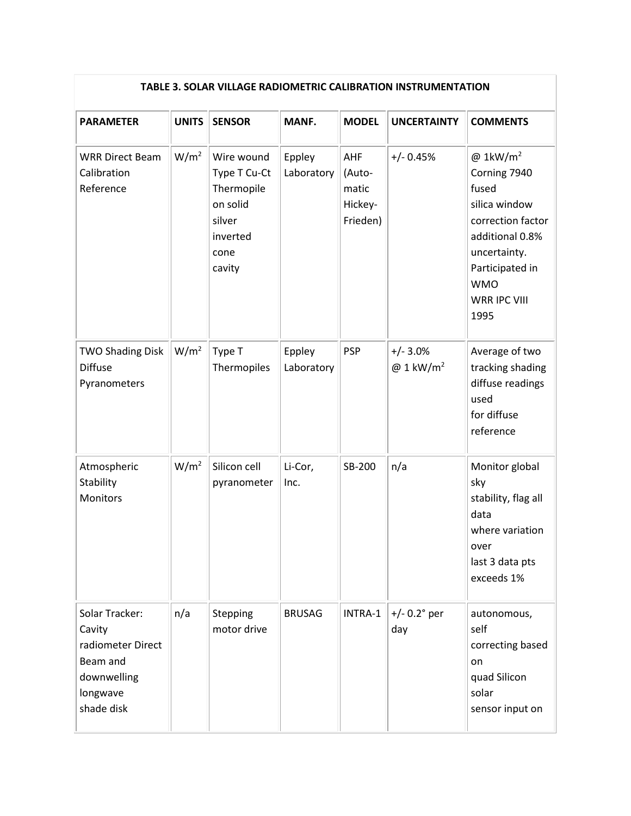| TABLE 3. SOLAR VILLAGE RADIOMETRIC CALIBRATION INSTRUMENTATION                                     |                  |                                                                                              |                      |                                               |                                     |                                                                                                                                                                                |  |
|----------------------------------------------------------------------------------------------------|------------------|----------------------------------------------------------------------------------------------|----------------------|-----------------------------------------------|-------------------------------------|--------------------------------------------------------------------------------------------------------------------------------------------------------------------------------|--|
| <b>PARAMETER</b>                                                                                   | <b>UNITS</b>     | <b>SENSOR</b>                                                                                | MANF.                | <b>MODEL</b>                                  | <b>UNCERTAINTY</b>                  | <b>COMMENTS</b>                                                                                                                                                                |  |
| <b>WRR Direct Beam</b><br>Calibration<br>Reference                                                 | W/m <sup>2</sup> | Wire wound<br>Type T Cu-Ct<br>Thermopile<br>on solid<br>silver<br>inverted<br>cone<br>cavity | Eppley<br>Laboratory | AHF<br>(Auto-<br>matic<br>Hickey-<br>Frieden) | $+/- 0.45%$                         | @1kW/m <sup>2</sup><br>Corning 7940<br>fused<br>silica window<br>correction factor<br>additional 0.8%<br>uncertainty.<br>Participated in<br><b>WMO</b><br>WRR IPC VIII<br>1995 |  |
| <b>TWO Shading Disk</b><br><b>Diffuse</b><br>Pyranometers                                          | W/m <sup>2</sup> | Type T<br>Thermopiles                                                                        | Eppley<br>Laboratory | <b>PSP</b>                                    | $+/- 3.0%$<br>@ 1 kW/m <sup>2</sup> | Average of two<br>tracking shading<br>diffuse readings<br>used<br>for diffuse<br>reference                                                                                     |  |
| Atmospheric<br>Stability<br><b>Monitors</b>                                                        | W/m <sup>2</sup> | Silicon cell<br>pyranometer                                                                  | Li-Cor,<br>Inc.      | SB-200                                        | n/a                                 | Monitor global<br>sky<br>stability, flag all<br>data<br>where variation<br>over<br>last 3 data pts<br>exceeds 1%                                                               |  |
| Solar Tracker:<br>Cavity<br>radiometer Direct<br>Beam and<br>downwelling<br>longwave<br>shade disk | n/a              | Stepping<br>motor drive                                                                      | <b>BRUSAG</b>        | INTRA-1                                       | $+/- 0.2°$ per<br>day               | autonomous,<br>self<br>correcting based<br>on<br>quad Silicon<br>solar<br>sensor input on                                                                                      |  |